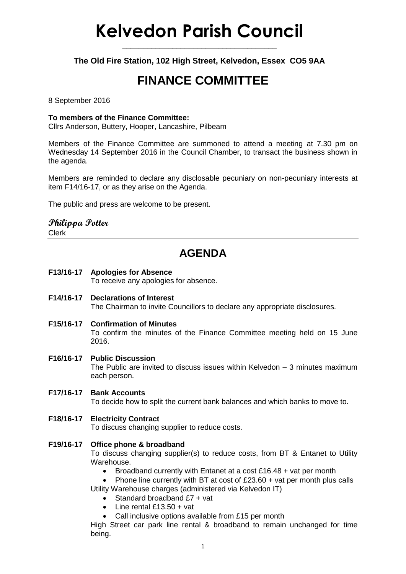# **Kelvedon Parish Council**

**\_\_\_\_\_\_\_\_\_\_\_\_\_\_\_\_\_\_\_\_\_\_\_\_\_\_\_\_\_\_\_\_\_\_\_\_\_**

**The Old Fire Station, 102 High Street, Kelvedon, Essex CO5 9AA**

## **FINANCE COMMITTEE**

8 September 2016

#### **To members of the Finance Committee:**

Cllrs Anderson, Buttery, Hooper, Lancashire, Pilbeam

Members of the Finance Committee are summoned to attend a meeting at 7.30 pm on Wednesday 14 September 2016 in the Council Chamber, to transact the business shown in the agenda.

Members are reminded to declare any disclosable pecuniary on non-pecuniary interests at item F14/16-17, or as they arise on the Agenda.

The public and press are welcome to be present.

### **Philippa Potter**

Clerk

### **AGENDA**

#### **F13/16-17 Apologies for Absence** To receive any apologies for absence.

- **F14/16-17 Declarations of Interest** The Chairman to invite Councillors to declare any appropriate disclosures.
- **F15/16-17 Confirmation of Minutes**

To confirm the minutes of the Finance Committee meeting held on 15 June 2016.

**F16/16-17 Public Discussion** The Public are invited to discuss issues within Kelvedon – 3 minutes maximum each person.

### **F17/16-17 Bank Accounts**

To decide how to split the current bank balances and which banks to move to.

#### **F18/16-17 Electricity Contract**

To discuss changing supplier to reduce costs.

#### **F19/16-17 Office phone & broadband**

To discuss changing supplier(s) to reduce costs, from BT & Entanet to Utility Warehouse.

- Broadband currently with Entanet at a cost £16.48 + vat per month
- Phone line currently with BT at cost of  $£23.60 + \text{vat per month plus calls}$

Utility Warehouse charges (administered via Kelvedon IT)

- Standard broadband £7 + vat
- $\bullet$  Line rental £13.50 + vat
- Call inclusive options available from £15 per month

High Street car park line rental & broadband to remain unchanged for time being.